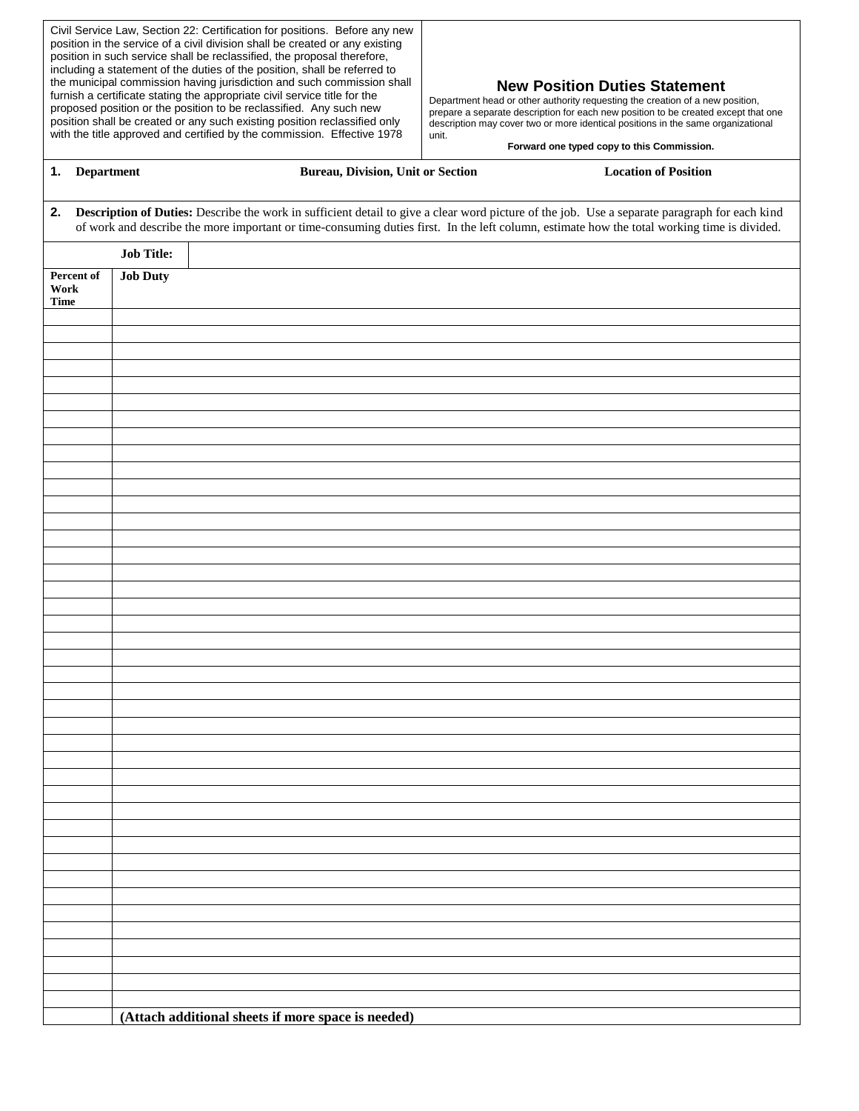|                                   |                   | Civil Service Law, Section 22: Certification for positions. Before any new<br>position in the service of a civil division shall be created or any existing<br>position in such service shall be reclassified, the proposal therefore,<br>including a statement of the duties of the position, shall be referred to<br>the municipal commission having jurisdiction and such commission shall<br>furnish a certificate stating the appropriate civil service title for the<br>proposed position or the position to be reclassified. Any such new<br>position shall be created or any such existing position reclassified only<br>with the title approved and certified by the commission. Effective 1978 | unit. | <b>New Position Duties Statement</b><br>Department head or other authority requesting the creation of a new position,<br>prepare a separate description for each new position to be created except that one<br>description may cover two or more identical positions in the same organizational<br>Forward one typed copy to this Commission. |  |
|-----------------------------------|-------------------|---------------------------------------------------------------------------------------------------------------------------------------------------------------------------------------------------------------------------------------------------------------------------------------------------------------------------------------------------------------------------------------------------------------------------------------------------------------------------------------------------------------------------------------------------------------------------------------------------------------------------------------------------------------------------------------------------------|-------|-----------------------------------------------------------------------------------------------------------------------------------------------------------------------------------------------------------------------------------------------------------------------------------------------------------------------------------------------|--|
| 1. Department                     |                   | <b>Bureau, Division, Unit or Section</b>                                                                                                                                                                                                                                                                                                                                                                                                                                                                                                                                                                                                                                                                |       | <b>Location of Position</b>                                                                                                                                                                                                                                                                                                                   |  |
| 2.                                |                   |                                                                                                                                                                                                                                                                                                                                                                                                                                                                                                                                                                                                                                                                                                         |       | Description of Duties: Describe the work in sufficient detail to give a clear word picture of the job. Use a separate paragraph for each kind<br>of work and describe the more important or time-consuming duties first. In the left column, estimate how the total working time is divided.                                                  |  |
|                                   | <b>Job Title:</b> |                                                                                                                                                                                                                                                                                                                                                                                                                                                                                                                                                                                                                                                                                                         |       |                                                                                                                                                                                                                                                                                                                                               |  |
| Percent of<br>Work<br><b>Time</b> | <b>Job Duty</b>   |                                                                                                                                                                                                                                                                                                                                                                                                                                                                                                                                                                                                                                                                                                         |       |                                                                                                                                                                                                                                                                                                                                               |  |
|                                   |                   |                                                                                                                                                                                                                                                                                                                                                                                                                                                                                                                                                                                                                                                                                                         |       |                                                                                                                                                                                                                                                                                                                                               |  |
|                                   |                   |                                                                                                                                                                                                                                                                                                                                                                                                                                                                                                                                                                                                                                                                                                         |       |                                                                                                                                                                                                                                                                                                                                               |  |
|                                   |                   |                                                                                                                                                                                                                                                                                                                                                                                                                                                                                                                                                                                                                                                                                                         |       |                                                                                                                                                                                                                                                                                                                                               |  |
|                                   |                   |                                                                                                                                                                                                                                                                                                                                                                                                                                                                                                                                                                                                                                                                                                         |       |                                                                                                                                                                                                                                                                                                                                               |  |
|                                   |                   |                                                                                                                                                                                                                                                                                                                                                                                                                                                                                                                                                                                                                                                                                                         |       |                                                                                                                                                                                                                                                                                                                                               |  |
|                                   |                   |                                                                                                                                                                                                                                                                                                                                                                                                                                                                                                                                                                                                                                                                                                         |       |                                                                                                                                                                                                                                                                                                                                               |  |
|                                   |                   |                                                                                                                                                                                                                                                                                                                                                                                                                                                                                                                                                                                                                                                                                                         |       |                                                                                                                                                                                                                                                                                                                                               |  |
|                                   |                   |                                                                                                                                                                                                                                                                                                                                                                                                                                                                                                                                                                                                                                                                                                         |       |                                                                                                                                                                                                                                                                                                                                               |  |
|                                   |                   |                                                                                                                                                                                                                                                                                                                                                                                                                                                                                                                                                                                                                                                                                                         |       |                                                                                                                                                                                                                                                                                                                                               |  |
|                                   |                   |                                                                                                                                                                                                                                                                                                                                                                                                                                                                                                                                                                                                                                                                                                         |       |                                                                                                                                                                                                                                                                                                                                               |  |
|                                   |                   |                                                                                                                                                                                                                                                                                                                                                                                                                                                                                                                                                                                                                                                                                                         |       |                                                                                                                                                                                                                                                                                                                                               |  |
|                                   |                   | (Attach additional sheets if more space is needed)                                                                                                                                                                                                                                                                                                                                                                                                                                                                                                                                                                                                                                                      |       |                                                                                                                                                                                                                                                                                                                                               |  |